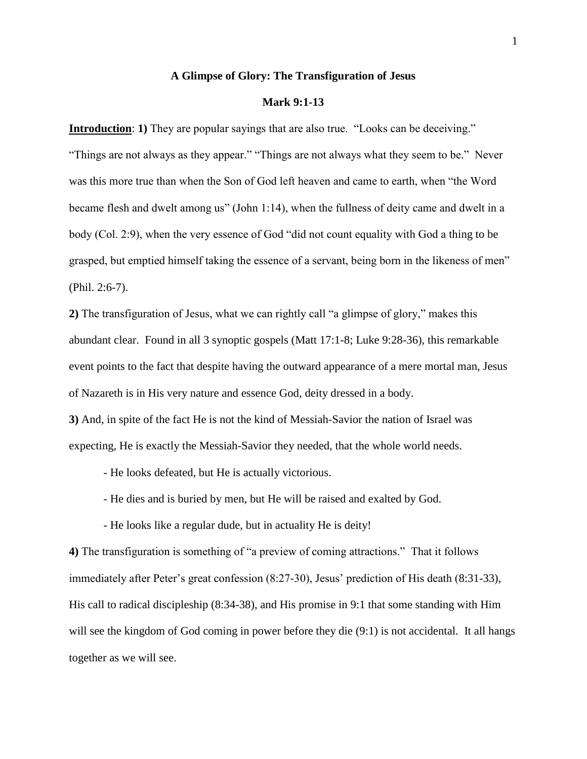## **A Glimpse of Glory: The Transfiguration of Jesus**

# **Mark 9:1-13**

**Introduction: 1)** They are popular sayings that are also true. "Looks can be deceiving." "Things are not always as they appear." "Things are not always what they seem to be." Never was this more true than when the Son of God left heaven and came to earth, when "the Word became flesh and dwelt among us" (John 1:14), when the fullness of deity came and dwelt in a body (Col. 2:9), when the very essence of God "did not count equality with God a thing to be grasped, but emptied himself taking the essence of a servant, being born in the likeness of men" (Phil. 2:6-7).

**2)** The transfiguration of Jesus, what we can rightly call "a glimpse of glory," makes this abundant clear. Found in all 3 synoptic gospels (Matt 17:1-8; Luke 9:28-36), this remarkable event points to the fact that despite having the outward appearance of a mere mortal man, Jesus of Nazareth is in His very nature and essence God, deity dressed in a body.

**3)** And, in spite of the fact He is not the kind of Messiah-Savior the nation of Israel was expecting, He is exactly the Messiah-Savior they needed, that the whole world needs.

- He looks defeated, but He is actually victorious.

- He dies and is buried by men, but He will be raised and exalted by God.

- He looks like a regular dude, but in actuality He is deity!

**4)** The transfiguration is something of "a preview of coming attractions." That it follows immediately after Peter's great confession (8:27-30), Jesus' prediction of His death (8:31-33), His call to radical discipleship (8:34-38), and His promise in 9:1 that some standing with Him will see the kingdom of God coming in power before they die (9:1) is not accidental. It all hangs together as we will see.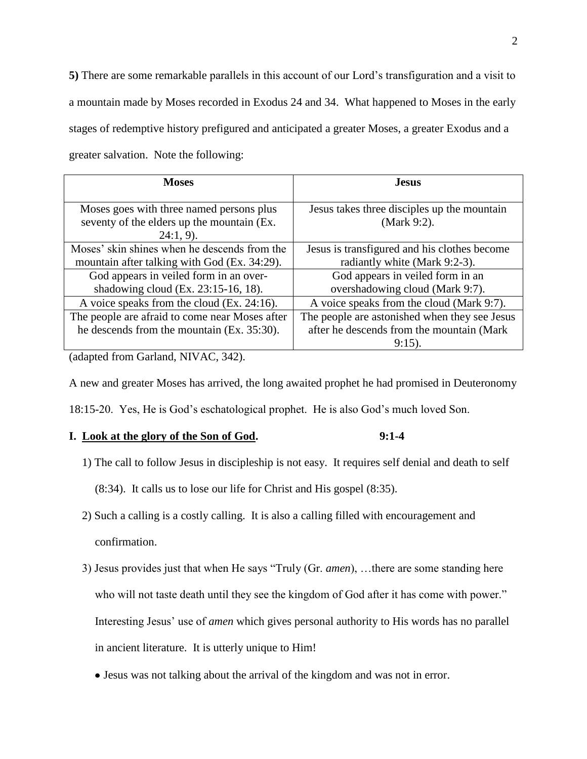**5)** There are some remarkable parallels in this account of our Lord's transfiguration and a visit to a mountain made by Moses recorded in Exodus 24 and 34. What happened to Moses in the early stages of redemptive history prefigured and anticipated a greater Moses, a greater Exodus and a greater salvation. Note the following:

| <b>Moses</b>                                                                                           | <b>Jesus</b>                                                                  |
|--------------------------------------------------------------------------------------------------------|-------------------------------------------------------------------------------|
| Moses goes with three named persons plus<br>seventy of the elders up the mountain (Ex.<br>$24:1, 9$ ). | Jesus takes three disciples up the mountain<br>(Mark 9:2).                    |
| Moses' skin shines when he descends from the<br>mountain after talking with God (Ex. 34:29).           | Jesus is transfigured and his clothes become<br>radiantly white (Mark 9:2-3). |
| God appears in veiled form in an over-<br>shadowing cloud (Ex. 23:15-16, 18).                          | God appears in veiled form in an<br>overshadowing cloud (Mark 9:7).           |
| A voice speaks from the cloud (Ex. 24:16).                                                             | A voice speaks from the cloud (Mark 9:7).                                     |
| The people are afraid to come near Moses after                                                         | The people are astonished when they see Jesus                                 |
| he descends from the mountain (Ex. 35:30).                                                             | after he descends from the mountain (Mark                                     |
|                                                                                                        | $9:15$ ).                                                                     |

(adapted from Garland, NIVAC, 342).

A new and greater Moses has arrived, the long awaited prophet he had promised in Deuteronomy

18:15-20. Yes, He is God's eschatological prophet. He is also God's much loved Son.

# **I. Look at the glory of the Son of God. 9:1-4**

- 1) The call to follow Jesus in discipleship is not easy. It requires self denial and death to self
	- (8:34). It calls us to lose our life for Christ and His gospel (8:35).
- 2) Such a calling is a costly calling. It is also a calling filled with encouragement and

confirmation.

- 3) Jesus provides just that when He says "Truly (Gr. *amen*), …there are some standing here who will not taste death until they see the kingdom of God after it has come with power." Interesting Jesus' use of *amen* which gives personal authority to His words has no parallel in ancient literature. It is utterly unique to Him!
	- Jesus was not talking about the arrival of the kingdom and was not in error.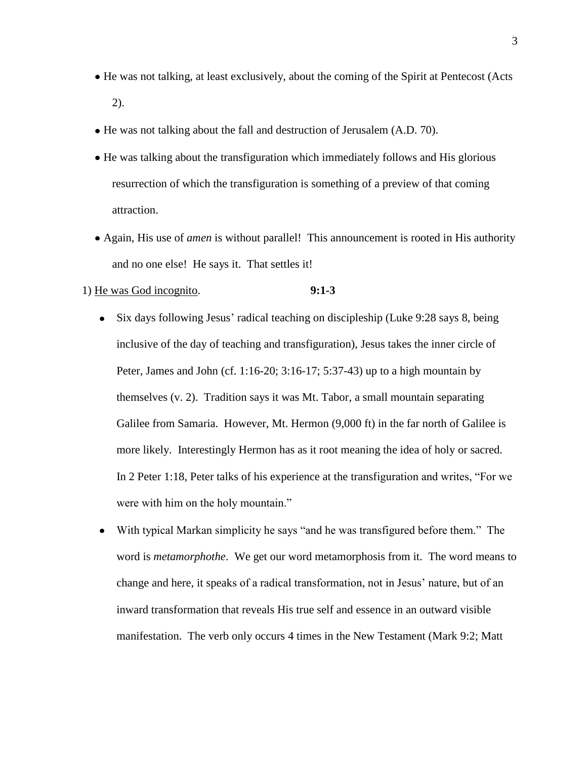- He was not talking, at least exclusively, about the coming of the Spirit at Pentecost (Acts 2).
- He was not talking about the fall and destruction of Jerusalem (A.D. 70).
- He was talking about the transfiguration which immediately follows and His glorious resurrection of which the transfiguration is something of a preview of that coming attraction.
- Again, His use of *amen* is without parallel! This announcement is rooted in His authority and no one else! He says it. That settles it!

## 1) He was God incognito. **9:1-3**

- Six days following Jesus' radical teaching on discipleship (Luke 9:28 says 8, being  $\bullet$ inclusive of the day of teaching and transfiguration), Jesus takes the inner circle of Peter, James and John (cf. 1:16-20; 3:16-17; 5:37-43) up to a high mountain by themselves (v. 2). Tradition says it was Mt. Tabor, a small mountain separating Galilee from Samaria. However, Mt. Hermon (9,000 ft) in the far north of Galilee is more likely. Interestingly Hermon has as it root meaning the idea of holy or sacred. In 2 Peter 1:18, Peter talks of his experience at the transfiguration and writes, "For we were with him on the holy mountain."
- With typical Markan simplicity he says "and he was transfigured before them." The  $\bullet$ word is *metamorphothe*. We get our word metamorphosis from it. The word means to change and here, it speaks of a radical transformation, not in Jesus' nature, but of an inward transformation that reveals His true self and essence in an outward visible manifestation. The verb only occurs 4 times in the New Testament (Mark 9:2; Matt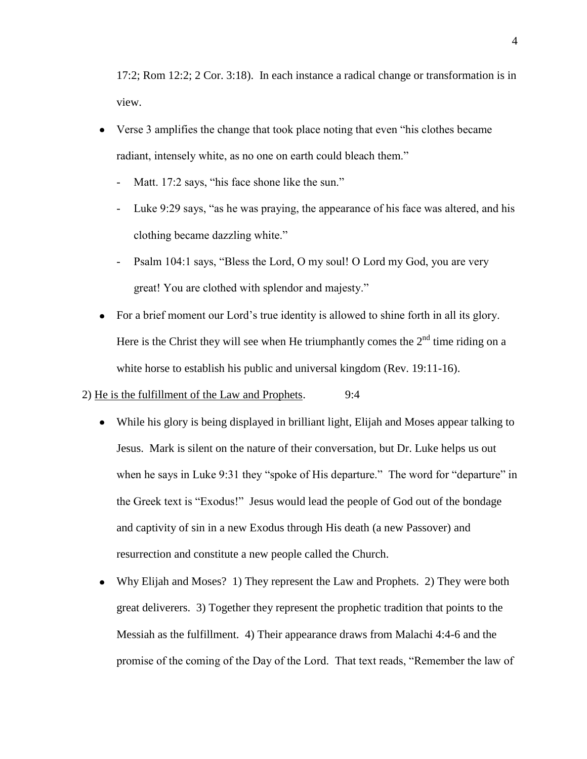17:2; Rom 12:2; 2 Cor. 3:18). In each instance a radical change or transformation is in view.

- Verse 3 amplifies the change that took place noting that even "his clothes became radiant, intensely white, as no one on earth could bleach them."
	- Matt. 17:2 says, "his face shone like the sun."
	- Luke 9:29 says, "as he was praying, the appearance of his face was altered, and his clothing became dazzling white."
	- Psalm 104:1 says, "Bless the Lord, O my soul! O Lord my God, you are very great! You are clothed with splendor and majesty."
- For a brief moment our Lord's true identity is allowed to shine forth in all its glory. Here is the Christ they will see when He triumphantly comes the  $2<sup>nd</sup>$  time riding on a white horse to establish his public and universal kingdom (Rev. 19:11-16).

# 2) He is the fulfillment of the Law and Prophets. 9:4

- While his glory is being displayed in brilliant light, Elijah and Moses appear talking to Jesus. Mark is silent on the nature of their conversation, but Dr. Luke helps us out when he says in Luke 9:31 they "spoke of His departure." The word for "departure" in the Greek text is "Exodus!" Jesus would lead the people of God out of the bondage and captivity of sin in a new Exodus through His death (a new Passover) and resurrection and constitute a new people called the Church.
- Why Elijah and Moses? 1) They represent the Law and Prophets. 2) They were both great deliverers. 3) Together they represent the prophetic tradition that points to the Messiah as the fulfillment. 4) Their appearance draws from Malachi 4:4-6 and the promise of the coming of the Day of the Lord. That text reads, "Remember the law of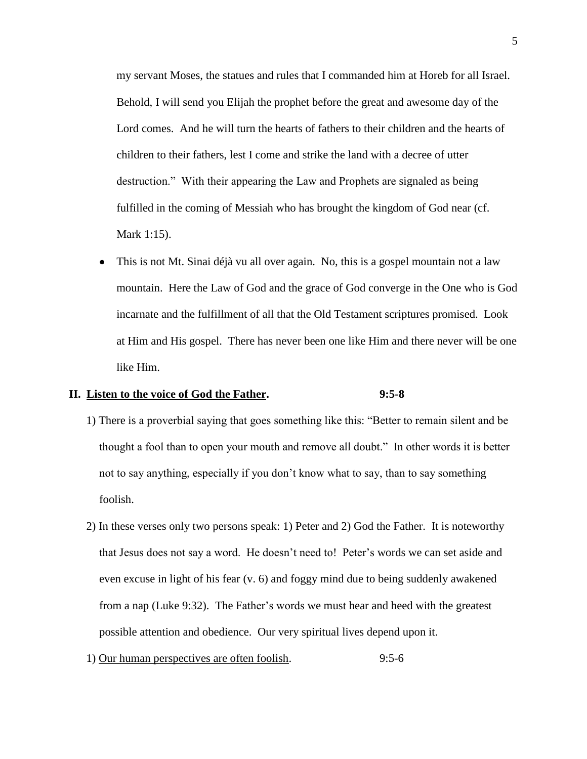my servant Moses, the statues and rules that I commanded him at Horeb for all Israel. Behold, I will send you Elijah the prophet before the great and awesome day of the Lord comes. And he will turn the hearts of fathers to their children and the hearts of children to their fathers, lest I come and strike the land with a decree of utter destruction." With their appearing the Law and Prophets are signaled as being fulfilled in the coming of Messiah who has brought the kingdom of God near (cf. Mark 1:15).

This is not Mt. Sinai déjà vu all over again. No, this is a gospel mountain not a law  $\bullet$ mountain. Here the Law of God and the grace of God converge in the One who is God incarnate and the fulfillment of all that the Old Testament scriptures promised. Look at Him and His gospel. There has never been one like Him and there never will be one like Him.

## **II. Listen to the voice of God the Father. 9:5-8**

- 1) There is a proverbial saying that goes something like this: "Better to remain silent and be thought a fool than to open your mouth and remove all doubt." In other words it is better not to say anything, especially if you don't know what to say, than to say something foolish.
- 2) In these verses only two persons speak: 1) Peter and 2) God the Father. It is noteworthy that Jesus does not say a word. He doesn't need to! Peter's words we can set aside and even excuse in light of his fear (v. 6) and foggy mind due to being suddenly awakened from a nap (Luke 9:32). The Father's words we must hear and heed with the greatest possible attention and obedience. Our very spiritual lives depend upon it.
- 1) Our human perspectives are often foolish. 9:5-6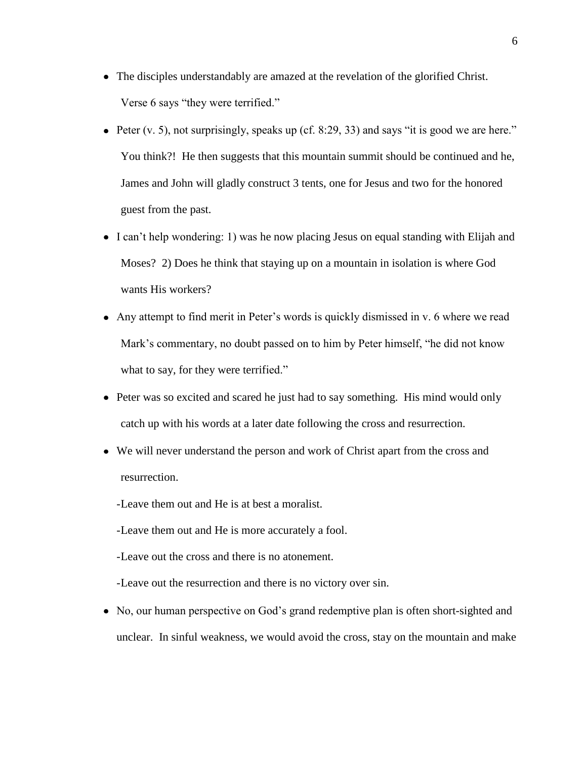- The disciples understandably are amazed at the revelation of the glorified Christ. Verse 6 says "they were terrified."
- Peter  $(v, 5)$ , not surprisingly, speaks up (cf. 8:29, 33) and says "it is good we are here." You think?! He then suggests that this mountain summit should be continued and he, James and John will gladly construct 3 tents, one for Jesus and two for the honored guest from the past.
- I can't help wondering: 1) was he now placing Jesus on equal standing with Elijah and Moses? 2) Does he think that staying up on a mountain in isolation is where God wants His workers?
- Any attempt to find merit in Peter's words is quickly dismissed in v. 6 where we read Mark's commentary, no doubt passed on to him by Peter himself, "he did not know what to say, for they were terrified."
- Peter was so excited and scared he just had to say something. His mind would only catch up with his words at a later date following the cross and resurrection.
- We will never understand the person and work of Christ apart from the cross and resurrection.
	- -Leave them out and He is at best a moralist.
	- -Leave them out and He is more accurately a fool.
	- -Leave out the cross and there is no atonement.
	- -Leave out the resurrection and there is no victory over sin.
- No, our human perspective on God's grand redemptive plan is often short-sighted and unclear. In sinful weakness, we would avoid the cross, stay on the mountain and make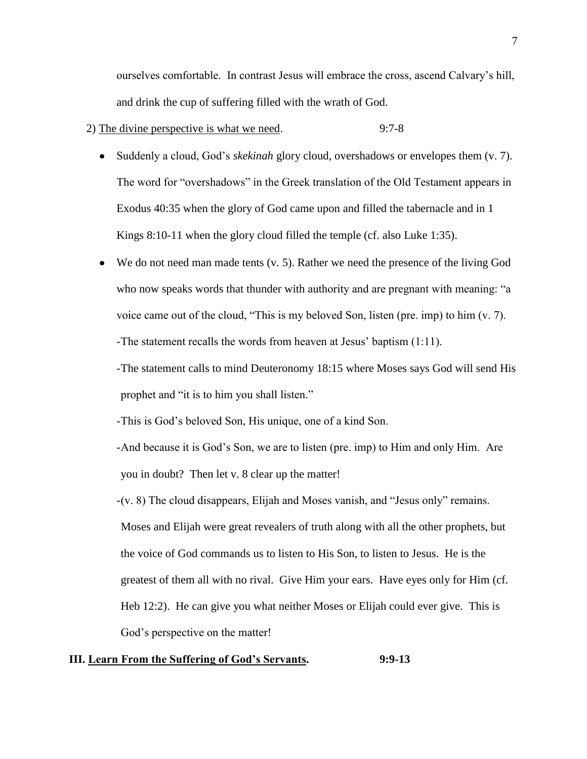ourselves comfortable. In contrast Jesus will embrace the cross, ascend Calvary's hill, and drink the cup of suffering filled with the wrath of God.

- 2) The divine perspective is what we need. 9:7-8
	-
	- Suddenly a cloud, God's *skekinah* glory cloud, overshadows or envelopes them (v. 7).  $\bullet$ The word for "overshadows" in the Greek translation of the Old Testament appears in Exodus 40:35 when the glory of God came upon and filled the tabernacle and in 1 Kings 8:10-11 when the glory cloud filled the temple (cf. also Luke 1:35).
	- $\bullet$  We do not need man made tents (v. 5). Rather we need the presence of the living God who now speaks words that thunder with authority and are pregnant with meaning: "a voice came out of the cloud, "This is my beloved Son, listen (pre. imp) to him (v. 7). -The statement recalls the words from heaven at Jesus' baptism (1:11).
		- -The statement calls to mind Deuteronomy 18:15 where Moses says God will send His prophet and "it is to him you shall listen."
		- -This is God's beloved Son, His unique, one of a kind Son.
		- -And because it is God's Son, we are to listen (pre. imp) to Him and only Him. Are you in doubt? Then let v. 8 clear up the matter!
		- -(v. 8) The cloud disappears, Elijah and Moses vanish, and "Jesus only" remains. Moses and Elijah were great revealers of truth along with all the other prophets, but the voice of God commands us to listen to His Son, to listen to Jesus. He is the greatest of them all with no rival. Give Him your ears. Have eyes only for Him (cf. Heb 12:2). He can give you what neither Moses or Elijah could ever give. This is God's perspective on the matter!

# **III. Learn From the Suffering of God's Servants. 9:9-13**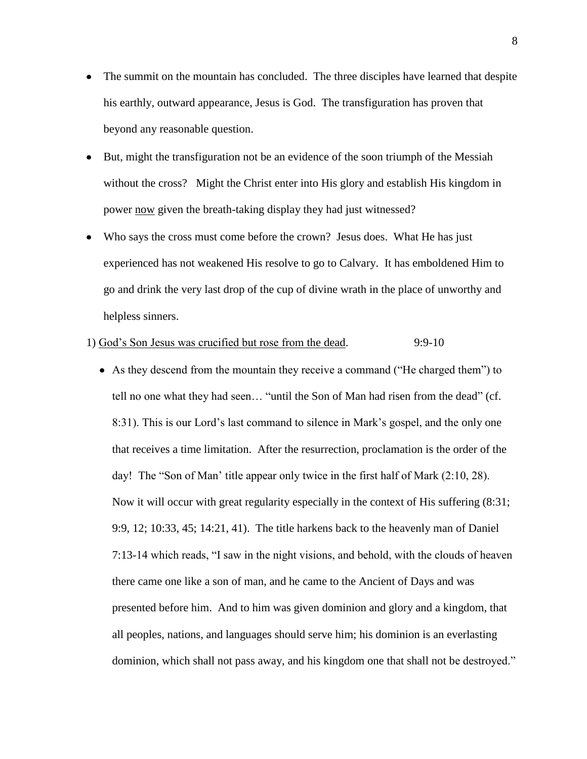- The summit on the mountain has concluded. The three disciples have learned that despite  $\bullet$ his earthly, outward appearance, Jesus is God. The transfiguration has proven that beyond any reasonable question.
- But, might the transfiguration not be an evidence of the soon triumph of the Messiah without the cross? Might the Christ enter into His glory and establish His kingdom in power now given the breath-taking display they had just witnessed?
- Who says the cross must come before the crown? Jesus does. What He has just experienced has not weakened His resolve to go to Calvary. It has emboldened Him to go and drink the very last drop of the cup of divine wrath in the place of unworthy and helpless sinners.

# 1) God's Son Jesus was crucified but rose from the dead. 9:9-10

As they descend from the mountain they receive a command ("He charged them") to tell no one what they had seen… "until the Son of Man had risen from the dead" (cf. 8:31). This is our Lord's last command to silence in Mark's gospel, and the only one that receives a time limitation. After the resurrection, proclamation is the order of the day! The "Son of Man' title appear only twice in the first half of Mark (2:10, 28). Now it will occur with great regularity especially in the context of His suffering (8:31; 9:9, 12; 10:33, 45; 14:21, 41). The title harkens back to the heavenly man of Daniel 7:13-14 which reads, "I saw in the night visions, and behold, with the clouds of heaven there came one like a son of man, and he came to the Ancient of Days and was presented before him. And to him was given dominion and glory and a kingdom, that all peoples, nations, and languages should serve him; his dominion is an everlasting dominion, which shall not pass away, and his kingdom one that shall not be destroyed."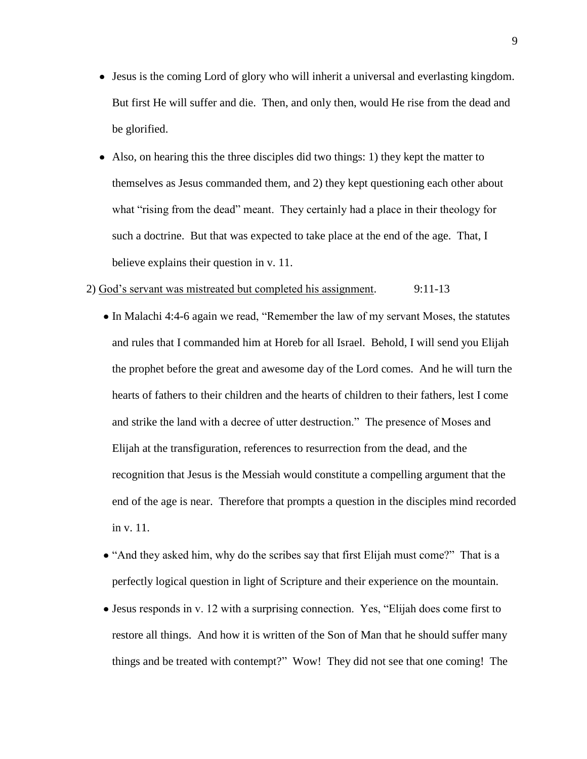- Jesus is the coming Lord of glory who will inherit a universal and everlasting kingdom. But first He will suffer and die. Then, and only then, would He rise from the dead and be glorified.
- Also, on hearing this the three disciples did two things: 1) they kept the matter to themselves as Jesus commanded them, and 2) they kept questioning each other about what "rising from the dead" meant. They certainly had a place in their theology for such a doctrine. But that was expected to take place at the end of the age. That, I believe explains their question in v. 11.

#### 2) God's servant was mistreated but completed his assignment. 9:11-13

- In Malachi 4:4-6 again we read, "Remember the law of my servant Moses, the statutes and rules that I commanded him at Horeb for all Israel. Behold, I will send you Elijah the prophet before the great and awesome day of the Lord comes. And he will turn the hearts of fathers to their children and the hearts of children to their fathers, lest I come and strike the land with a decree of utter destruction." The presence of Moses and Elijah at the transfiguration, references to resurrection from the dead, and the recognition that Jesus is the Messiah would constitute a compelling argument that the end of the age is near. Therefore that prompts a question in the disciples mind recorded in v. 11.
- "And they asked him, why do the scribes say that first Elijah must come?" That is a perfectly logical question in light of Scripture and their experience on the mountain.
- Jesus responds in v. 12 with a surprising connection. Yes, "Elijah does come first to restore all things. And how it is written of the Son of Man that he should suffer many things and be treated with contempt?" Wow! They did not see that one coming! The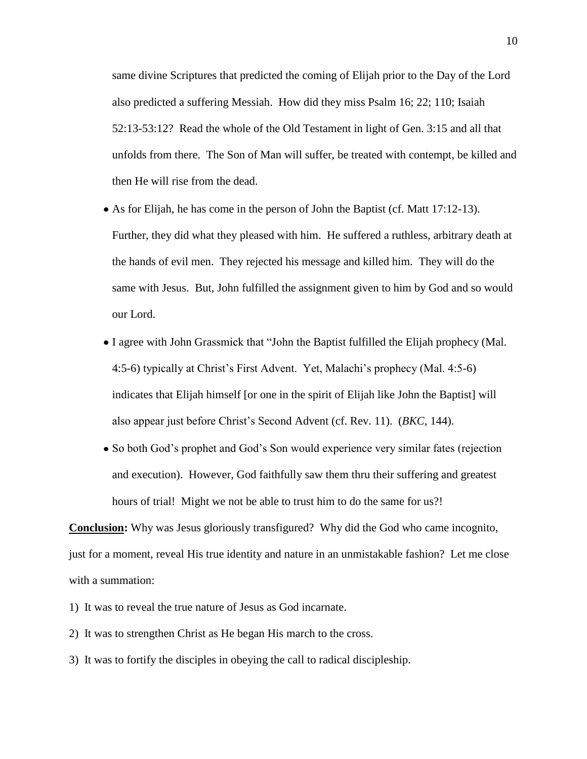same divine Scriptures that predicted the coming of Elijah prior to the Day of the Lord also predicted a suffering Messiah. How did they miss Psalm 16; 22; 110; Isaiah 52:13-53:12? Read the whole of the Old Testament in light of Gen. 3:15 and all that unfolds from there. The Son of Man will suffer, be treated with contempt, be killed and then He will rise from the dead.

- As for Elijah, he has come in the person of John the Baptist (cf. Matt  $17:12-13$ ). Further, they did what they pleased with him. He suffered a ruthless, arbitrary death at the hands of evil men. They rejected his message and killed him. They will do the same with Jesus. But, John fulfilled the assignment given to him by God and so would our Lord.
- I agree with John Grassmick that "John the Baptist fulfilled the Elijah prophecy (Mal. 4:5-6) typically at Christ's First Advent. Yet, Malachi's prophecy (Mal. 4:5-6) indicates that Elijah himself [or one in the spirit of Elijah like John the Baptist] will also appear just before Christ's Second Advent (cf. Rev. 11). (*BKC*, 144).
- So both God's prophet and God's Son would experience very similar fates (rejection and execution). However, God faithfully saw them thru their suffering and greatest hours of trial! Might we not be able to trust him to do the same for us?!

**Conclusion:** Why was Jesus gloriously transfigured? Why did the God who came incognito, just for a moment, reveal His true identity and nature in an unmistakable fashion? Let me close with a summation:

- 1) It was to reveal the true nature of Jesus as God incarnate.
- 2) It was to strengthen Christ as He began His march to the cross.
- 3) It was to fortify the disciples in obeying the call to radical discipleship.